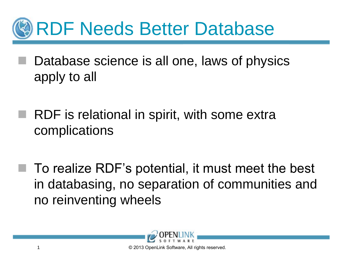

- Database science is all one, laws of physics apply to all
	- RDF is relational in spirit, with some extra complications
		- To realize RDF's potential, it must meet the best in databasing, no separation of communities and no reinventing wheels

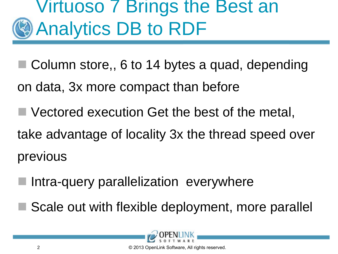## Virtuoso 7 Brings the Best an Analytics DB to RDF

- Column store,, 6 to 14 bytes a quad, depending
- on data, 3x more compact than before
- Vectored execution Get the best of the metal,
- take advantage of locality 3x the thread speed over previous
- Intra-query parallelization everywhere
- Scale out with flexible deployment, more parallel



© 2013 OpenLink Software, All rights reserved.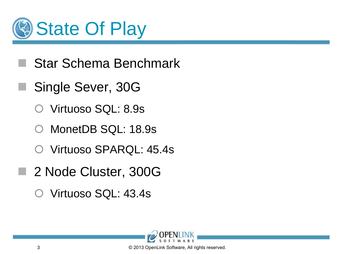

- Star Schema Benchmark
- Single Sever, 30G
	- Virtuoso SQL: 8.9s
	- MonetDB SQL: 18.9s
	- Virtuoso SPARQL: 45.4s
- 2 Node Cluster, 300G
	- Virtuoso SQL: 43.4s

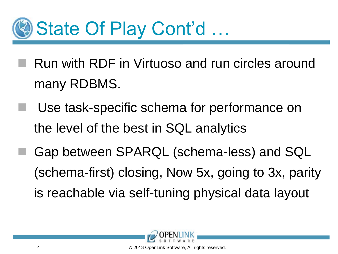

- Run with RDF in Virtuoso and run circles around many RDBMS.
	- Use task-specific schema for performance on the level of the best in SQL analytics
- Gap between SPARQL (schema-less) and SQL (schema-first) closing, Now 5x, going to 3x, parity is reachable via self-tuning physical data layout



© 2013 OpenLink Software, All rights reserved.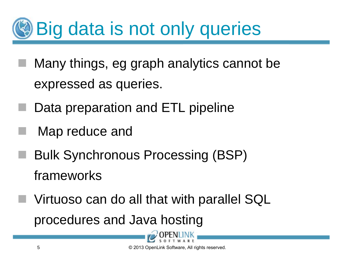## Big data is not only queries

- Many things, eg graph analytics cannot be expressed as queries.
- Data preparation and ETL pipeline
- Map reduce and
- Bulk Synchronous Processing (BSP) frameworks
- Virtuoso can do all that with parallel SQL procedures and Java hosting